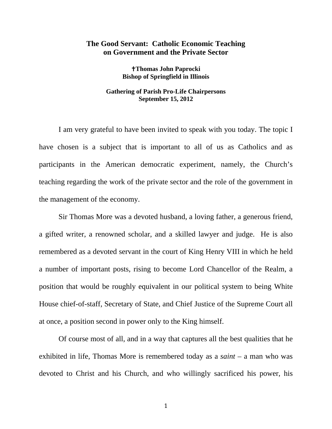## **The Good Servant: Catholic Economic Teaching on Government and the Private Sector**

**Thomas John Paprocki Bishop of Springfield in Illinois** 

## **Gathering of Parish Pro-Life Chairpersons September 15, 2012**

I am very grateful to have been invited to speak with you today. The topic I have chosen is a subject that is important to all of us as Catholics and as participants in the American democratic experiment, namely, the Church's teaching regarding the work of the private sector and the role of the government in the management of the economy.

Sir Thomas More was a devoted husband, a loving father, a generous friend, a gifted writer, a renowned scholar, and a skilled lawyer and judge. He is also remembered as a devoted servant in the court of King Henry VIII in which he held a number of important posts, rising to become Lord Chancellor of the Realm, a position that would be roughly equivalent in our political system to being White House chief-of-staff, Secretary of State, and Chief Justice of the Supreme Court all at once, a position second in power only to the King himself.

Of course most of all, and in a way that captures all the best qualities that he exhibited in life, Thomas More is remembered today as a *saint* – a man who was devoted to Christ and his Church, and who willingly sacrificed his power, his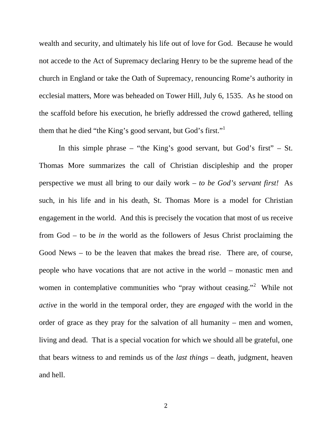wealth and security, and ultimately his life out of love for God. Because he would not accede to the Act of Supremacy declaring Henry to be the supreme head of the church in England or take the Oath of Supremacy, renouncing Rome's authority in ecclesial matters, More was beheaded on Tower Hill, July 6, 1535. As he stood on the scaffold before his execution, he briefly addressed the crowd gathered, telling them that he died "the King's good servant, but God's first."<sup>1</sup>

 In this simple phrase – "the King's good servant, but God's first" – St. Thomas More summarizes the call of Christian discipleship and the proper perspective we must all bring to our daily work – *to be God's servant first!* As such, in his life and in his death, St. Thomas More is a model for Christian engagement in the world. And this is precisely the vocation that most of us receive from God – to be *in* the world as the followers of Jesus Christ proclaiming the Good News – to be the leaven that makes the bread rise. There are, of course, people who have vocations that are not active in the world – monastic men and women in contemplative communities who "pray without ceasing."<sup>2</sup> While not *active* in the world in the temporal order, they are *engaged* with the world in the order of grace as they pray for the salvation of all humanity – men and women, living and dead. That is a special vocation for which we should all be grateful, one that bears witness to and reminds us of the *last things* – death, judgment, heaven and hell.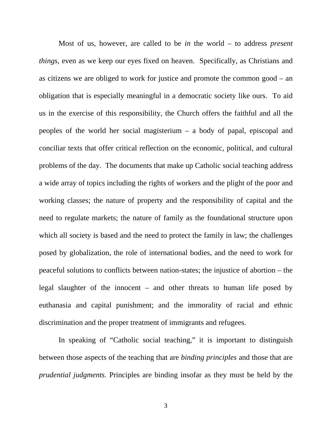Most of us, however, are called to be *in* the world – to address *present things*, even as we keep our eyes fixed on heaven. Specifically, as Christians and as citizens we are obliged to work for justice and promote the common good – an obligation that is especially meaningful in a democratic society like ours. To aid us in the exercise of this responsibility, the Church offers the faithful and all the peoples of the world her social magisterium – a body of papal, episcopal and conciliar texts that offer critical reflection on the economic, political, and cultural problems of the day. The documents that make up Catholic social teaching address a wide array of topics including the rights of workers and the plight of the poor and working classes; the nature of property and the responsibility of capital and the need to regulate markets; the nature of family as the foundational structure upon which all society is based and the need to protect the family in law; the challenges posed by globalization, the role of international bodies, and the need to work for peaceful solutions to conflicts between nation-states; the injustice of abortion – the legal slaughter of the innocent – and other threats to human life posed by euthanasia and capital punishment; and the immorality of racial and ethnic discrimination and the proper treatment of immigrants and refugees.

 In speaking of "Catholic social teaching," it is important to distinguish between those aspects of the teaching that are *binding principles* and those that are *prudential judgments*. Principles are binding insofar as they must be held by the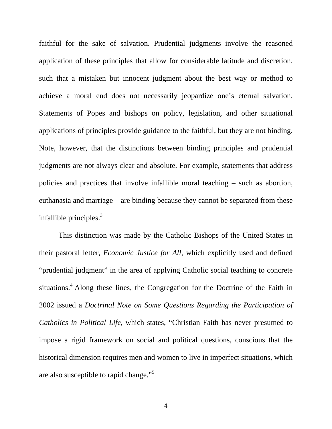faithful for the sake of salvation. Prudential judgments involve the reasoned application of these principles that allow for considerable latitude and discretion, such that a mistaken but innocent judgment about the best way or method to achieve a moral end does not necessarily jeopardize one's eternal salvation. Statements of Popes and bishops on policy, legislation, and other situational applications of principles provide guidance to the faithful, but they are not binding. Note, however, that the distinctions between binding principles and prudential judgments are not always clear and absolute. For example, statements that address policies and practices that involve infallible moral teaching – such as abortion, euthanasia and marriage – are binding because they cannot be separated from these infallible principles. $3$ 

 This distinction was made by the Catholic Bishops of the United States in their pastoral letter, *Economic Justice for All*, which explicitly used and defined "prudential judgment" in the area of applying Catholic social teaching to concrete situations.<sup>4</sup> Along these lines, the Congregation for the Doctrine of the Faith in 2002 issued a *Doctrinal Note on Some Questions Regarding the Participation of Catholics in Political Life*, which states, "Christian Faith has never presumed to impose a rigid framework on social and political questions, conscious that the historical dimension requires men and women to live in imperfect situations, which are also susceptible to rapid change."<sup>5</sup>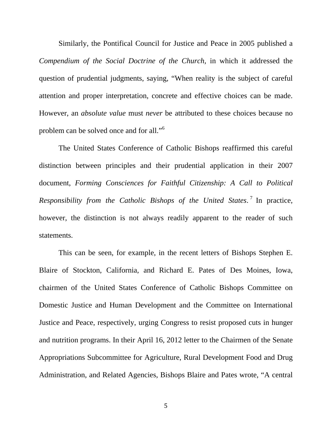Similarly, the Pontifical Council for Justice and Peace in 2005 published a *Compendium of the Social Doctrine of the Church*, in which it addressed the question of prudential judgments, saying, "When reality is the subject of careful attention and proper interpretation, concrete and effective choices can be made. However, an *absolute value* must *never* be attributed to these choices because no problem can be solved once and for all."<sup>6</sup>

 The United States Conference of Catholic Bishops reaffirmed this careful distinction between principles and their prudential application in their 2007 document, *Forming Consciences for Faithful Citizenship: A Call to Political Responsibility from the Catholic Bishops of the United States*. 7 In practice, however, the distinction is not always readily apparent to the reader of such statements.

This can be seen, for example, in the recent letters of Bishops Stephen E. Blaire of Stockton, California, and Richard E. Pates of Des Moines, Iowa, chairmen of the United States Conference of Catholic Bishops Committee on Domestic Justice and Human Development and the Committee on International Justice and Peace, respectively, urging Congress to resist proposed cuts in hunger and nutrition programs. In their April 16, 2012 letter to the Chairmen of the Senate Appropriations Subcommittee for Agriculture, Rural Development Food and Drug Administration, and Related Agencies, Bishops Blaire and Pates wrote, "A central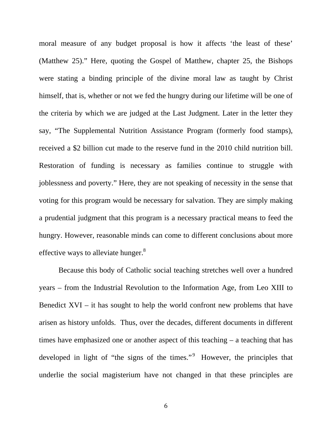moral measure of any budget proposal is how it affects 'the least of these' (Matthew 25)." Here, quoting the Gospel of Matthew, chapter 25, the Bishops were stating a binding principle of the divine moral law as taught by Christ himself, that is, whether or not we fed the hungry during our lifetime will be one of the criteria by which we are judged at the Last Judgment. Later in the letter they say, "The Supplemental Nutrition Assistance Program (formerly food stamps), received a \$2 billion cut made to the reserve fund in the 2010 child nutrition bill. Restoration of funding is necessary as families continue to struggle with joblessness and poverty." Here, they are not speaking of necessity in the sense that voting for this program would be necessary for salvation. They are simply making a prudential judgment that this program is a necessary practical means to feed the hungry. However, reasonable minds can come to different conclusions about more effective ways to alleviate hunger.<sup>8</sup>

Because this body of Catholic social teaching stretches well over a hundred years – from the Industrial Revolution to the Information Age, from Leo XIII to Benedict XVI – it has sought to help the world confront new problems that have arisen as history unfolds. Thus, over the decades, different documents in different times have emphasized one or another aspect of this teaching – a teaching that has developed in light of "the signs of the times." However, the principles that underlie the social magisterium have not changed in that these principles are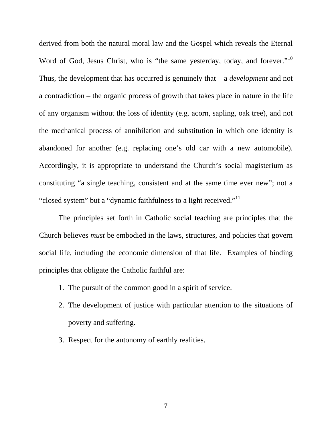derived from both the natural moral law and the Gospel which reveals the Eternal Word of God, Jesus Christ, who is "the same yesterday, today, and forever."<sup>10</sup> Thus, the development that has occurred is genuinely that – a *development* and not a contradiction – the organic process of growth that takes place in nature in the life of any organism without the loss of identity (e.g. acorn, sapling, oak tree), and not the mechanical process of annihilation and substitution in which one identity is abandoned for another (e.g. replacing one's old car with a new automobile). Accordingly, it is appropriate to understand the Church's social magisterium as constituting "a single teaching, consistent and at the same time ever new"; not a "closed system" but a "dynamic faithfulness to a light received."<sup>11</sup>

 The principles set forth in Catholic social teaching are principles that the Church believes *must* be embodied in the laws, structures, and policies that govern social life, including the economic dimension of that life. Examples of binding principles that obligate the Catholic faithful are:

- 1. The pursuit of the common good in a spirit of service.
- 2. The development of justice with particular attention to the situations of poverty and suffering.
- 3. Respect for the autonomy of earthly realities.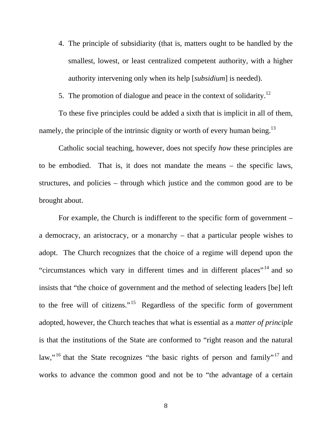4. The principle of subsidiarity (that is, matters ought to be handled by the smallest, lowest, or least centralized competent authority, with a higher authority intervening only when its help [*subsidium*] is needed).

5. The promotion of dialogue and peace in the context of solidarity.<sup>12</sup>

To these five principles could be added a sixth that is implicit in all of them, namely, the principle of the intrinsic dignity or worth of every human being.<sup>13</sup>

Catholic social teaching, however, does not specify *how* these principles are to be embodied. That is, it does not mandate the means – the specific laws, structures, and policies – through which justice and the common good are to be brought about.

For example, the Church is indifferent to the specific form of government – a democracy, an aristocracy, or a monarchy – that a particular people wishes to adopt. The Church recognizes that the choice of a regime will depend upon the "circumstances which vary in different times and in different places"<sup>14</sup> and so insists that "the choice of government and the method of selecting leaders [be] left to the free will of citizens."<sup>15</sup> Regardless of the specific form of government adopted, however, the Church teaches that what is essential as a *matter of principle* is that the institutions of the State are conformed to "right reason and the natural law,"<sup>16</sup> that the State recognizes "the basic rights of person and family"<sup>17</sup> and works to advance the common good and not be to "the advantage of a certain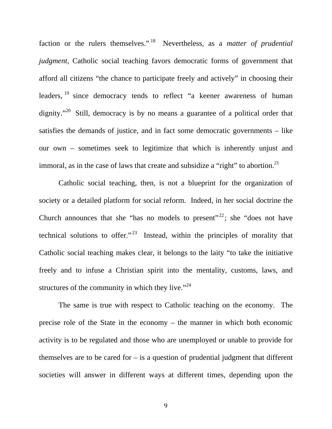faction or the rulers themselves." 18 Nevertheless, as a *matter of prudential judgment,* Catholic social teaching favors democratic forms of government that afford all citizens "the chance to participate freely and actively" in choosing their leaders, <sup>19</sup> since democracy tends to reflect "a keener awareness of human dignity."<sup>20</sup> Still, democracy is by no means a guarantee of a political order that satisfies the demands of justice, and in fact some democratic governments – like our own – sometimes seek to legitimize that which is inherently unjust and immoral, as in the case of laws that create and subsidize a "right" to abortion.<sup>21</sup>

 Catholic social teaching, then, is not a blueprint for the organization of society or a detailed platform for social reform. Indeed, in her social doctrine the Church announces that she "has no models to present"<sup>22</sup>; she "does not have technical solutions to offer."<sup>23</sup> Instead, within the principles of morality that Catholic social teaching makes clear, it belongs to the laity "to take the initiative freely and to infuse a Christian spirit into the mentality, customs, laws, and structures of the community in which they live." $24$ 

 The same is true with respect to Catholic teaching on the economy. The precise role of the State in the economy – the manner in which both economic activity is to be regulated and those who are unemployed or unable to provide for themselves are to be cared for  $-$  is a question of prudential judgment that different societies will answer in different ways at different times, depending upon the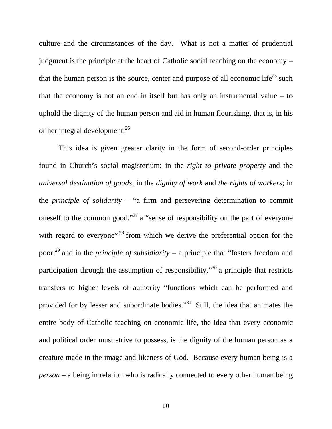culture and the circumstances of the day. What is not a matter of prudential judgment is the principle at the heart of Catholic social teaching on the economy – that the human person is the source, center and purpose of all economic life<sup>25</sup> such that the economy is not an end in itself but has only an instrumental value – to uphold the dignity of the human person and aid in human flourishing, that is, in his or her integral development.26

 This idea is given greater clarity in the form of second-order principles found in Church's social magisterium: in the *right to private property* and the *universal destination of goods*; in the *dignity of work* and *the rights of workers*; in the *principle of solidarity* – "a firm and persevering determination to commit oneself to the common good,"<sup>27</sup> a "sense of responsibility on the part of everyone with regard to everyone"<sup>28</sup> from which we derive the preferential option for the poor;29 and in the *principle of subsidiarity* – a principle that "fosters freedom and participation through the assumption of responsibility, $\cdot^{30}$  a principle that restricts transfers to higher levels of authority "functions which can be performed and provided for by lesser and subordinate bodies."31 Still, the idea that animates the entire body of Catholic teaching on economic life, the idea that every economic and political order must strive to possess, is the dignity of the human person as a creature made in the image and likeness of God. Because every human being is a *person* – a being in relation who is radically connected to every other human being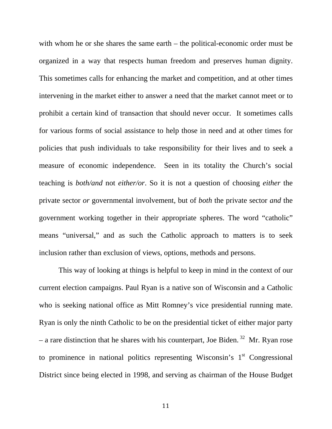with whom he or she shares the same earth – the political-economic order must be organized in a way that respects human freedom and preserves human dignity. This sometimes calls for enhancing the market and competition, and at other times intervening in the market either to answer a need that the market cannot meet or to prohibit a certain kind of transaction that should never occur. It sometimes calls for various forms of social assistance to help those in need and at other times for policies that push individuals to take responsibility for their lives and to seek a measure of economic independence. Seen in its totality the Church's social teaching is *both/and* not *either/or*. So it is not a question of choosing *either* the private sector *or* governmental involvement, but of *both* the private sector *and* the government working together in their appropriate spheres. The word "catholic" means "universal," and as such the Catholic approach to matters is to seek inclusion rather than exclusion of views, options, methods and persons.

 This way of looking at things is helpful to keep in mind in the context of our current election campaigns. Paul Ryan is a native son of Wisconsin and a Catholic who is seeking national office as Mitt Romney's vice presidential running mate. Ryan is only the ninth Catholic to be on the presidential ticket of either major party – a rare distinction that he shares with his counterpart, Joe Biden.  $32$  Mr. Ryan rose to prominence in national politics representing Wisconsin's  $1<sup>st</sup>$  Congressional District since being elected in 1998, and serving as chairman of the House Budget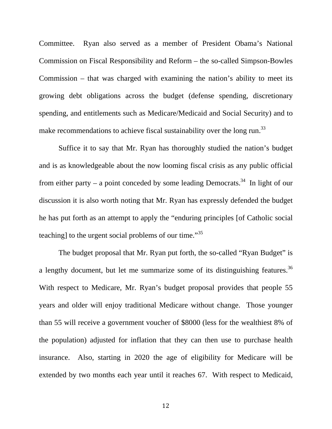Committee. Ryan also served as a member of President Obama's National Commission on Fiscal Responsibility and Reform – the so-called Simpson-Bowles Commission – that was charged with examining the nation's ability to meet its growing debt obligations across the budget (defense spending, discretionary spending, and entitlements such as Medicare/Medicaid and Social Security) and to make recommendations to achieve fiscal sustainability over the long run.<sup>33</sup>

 Suffice it to say that Mr. Ryan has thoroughly studied the nation's budget and is as knowledgeable about the now looming fiscal crisis as any public official from either party – a point conceded by some leading Democrats.<sup>34</sup> In light of our discussion it is also worth noting that Mr. Ryan has expressly defended the budget he has put forth as an attempt to apply the "enduring principles [of Catholic social teaching] to the urgent social problems of our time."<sup>35</sup>

 The budget proposal that Mr. Ryan put forth, the so-called "Ryan Budget" is a lengthy document, but let me summarize some of its distinguishing features.<sup>36</sup> With respect to Medicare, Mr. Ryan's budget proposal provides that people 55 years and older will enjoy traditional Medicare without change. Those younger than 55 will receive a government voucher of \$8000 (less for the wealthiest 8% of the population) adjusted for inflation that they can then use to purchase health insurance. Also, starting in 2020 the age of eligibility for Medicare will be extended by two months each year until it reaches 67. With respect to Medicaid,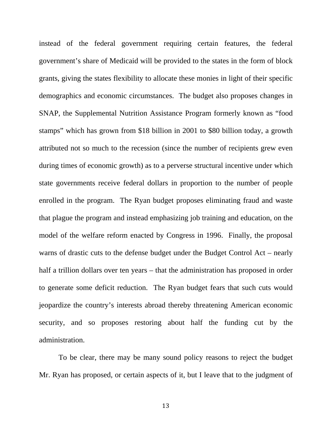instead of the federal government requiring certain features, the federal government's share of Medicaid will be provided to the states in the form of block grants, giving the states flexibility to allocate these monies in light of their specific demographics and economic circumstances. The budget also proposes changes in SNAP, the Supplemental Nutrition Assistance Program formerly known as "food stamps" which has grown from \$18 billion in 2001 to \$80 billion today, a growth attributed not so much to the recession (since the number of recipients grew even during times of economic growth) as to a perverse structural incentive under which state governments receive federal dollars in proportion to the number of people enrolled in the program. The Ryan budget proposes eliminating fraud and waste that plague the program and instead emphasizing job training and education, on the model of the welfare reform enacted by Congress in 1996. Finally, the proposal warns of drastic cuts to the defense budget under the Budget Control Act – nearly half a trillion dollars over ten years – that the administration has proposed in order to generate some deficit reduction. The Ryan budget fears that such cuts would jeopardize the country's interests abroad thereby threatening American economic security, and so proposes restoring about half the funding cut by the administration.

 To be clear, there may be many sound policy reasons to reject the budget Mr. Ryan has proposed, or certain aspects of it, but I leave that to the judgment of

13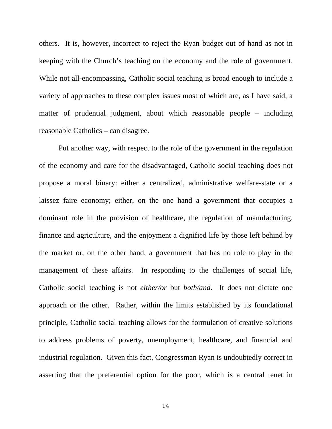others. It is, however, incorrect to reject the Ryan budget out of hand as not in keeping with the Church's teaching on the economy and the role of government. While not all-encompassing, Catholic social teaching is broad enough to include a variety of approaches to these complex issues most of which are, as I have said, a matter of prudential judgment, about which reasonable people – including reasonable Catholics – can disagree.

 Put another way, with respect to the role of the government in the regulation of the economy and care for the disadvantaged, Catholic social teaching does not propose a moral binary: either a centralized, administrative welfare-state or a laissez faire economy; either, on the one hand a government that occupies a dominant role in the provision of healthcare, the regulation of manufacturing, finance and agriculture, and the enjoyment a dignified life by those left behind by the market or, on the other hand, a government that has no role to play in the management of these affairs. In responding to the challenges of social life, Catholic social teaching is not *either/or* but *both/and*. It does not dictate one approach or the other. Rather, within the limits established by its foundational principle, Catholic social teaching allows for the formulation of creative solutions to address problems of poverty, unemployment, healthcare, and financial and industrial regulation. Given this fact, Congressman Ryan is undoubtedly correct in asserting that the preferential option for the poor, which is a central tenet in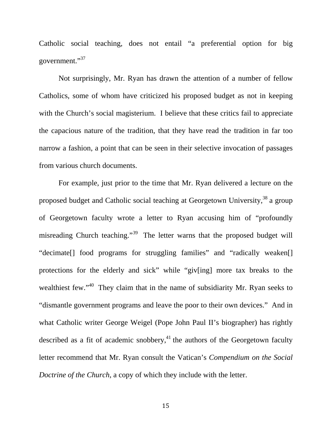Catholic social teaching, does not entail "a preferential option for big government."<sup>37</sup>

 Not surprisingly, Mr. Ryan has drawn the attention of a number of fellow Catholics, some of whom have criticized his proposed budget as not in keeping with the Church's social magisterium. I believe that these critics fail to appreciate the capacious nature of the tradition, that they have read the tradition in far too narrow a fashion, a point that can be seen in their selective invocation of passages from various church documents.

 For example, just prior to the time that Mr. Ryan delivered a lecture on the proposed budget and Catholic social teaching at Georgetown University,<sup>38</sup> a group of Georgetown faculty wrote a letter to Ryan accusing him of "profoundly misreading Church teaching."39 The letter warns that the proposed budget will "decimate[] food programs for struggling families" and "radically weaken[] protections for the elderly and sick" while "giv[ing] more tax breaks to the wealthiest few."<sup>40</sup> They claim that in the name of subsidiarity Mr. Ryan seeks to "dismantle government programs and leave the poor to their own devices." And in what Catholic writer George Weigel (Pope John Paul II's biographer) has rightly described as a fit of academic snobbery, $41$  the authors of the Georgetown faculty letter recommend that Mr. Ryan consult the Vatican's *Compendium on the Social Doctrine of the Church*, a copy of which they include with the letter.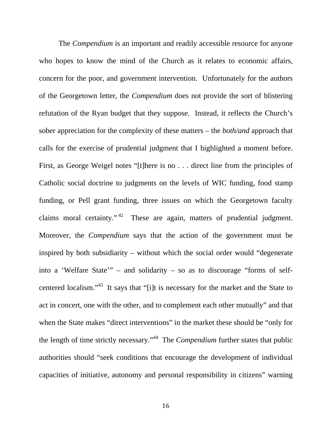The *Compendium* is an important and readily accessible resource for anyone who hopes to know the mind of the Church as it relates to economic affairs, concern for the poor, and government intervention. Unfortunately for the authors of the Georgetown letter, the *Compendium* does not provide the sort of blistering refutation of the Ryan budget that they suppose. Instead, it reflects the Church's sober appreciation for the complexity of these matters – the *both/and* approach that calls for the exercise of prudential judgment that I highlighted a moment before. First, as George Weigel notes "[t]here is no . . . direct line from the principles of Catholic social doctrine to judgments on the levels of WIC funding, food stamp funding, or Pell grant funding, three issues on which the Georgetown faculty claims moral certainty."<sup>42</sup> These are again, matters of prudential judgment. Moreover, the *Compendium* says that the action of the government must be inspired by both subsidiarity – without which the social order would "degenerate into a 'Welfare State'" – and solidarity – so as to discourage "forms of selfcentered localism."43 It says that "[i]t is necessary for the market and the State to act in concert, one with the other, and to complement each other mutually" and that when the State makes "direct interventions" in the market these should be "only for the length of time strictly necessary."44 The *Compendium* further states that public authorities should "seek conditions that encourage the development of individual capacities of initiative, autonomy and personal responsibility in citizens" warning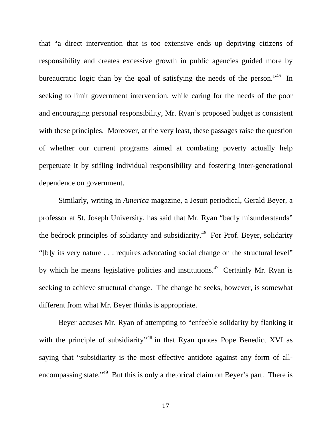that "a direct intervention that is too extensive ends up depriving citizens of responsibility and creates excessive growth in public agencies guided more by bureaucratic logic than by the goal of satisfying the needs of the person."45 In seeking to limit government intervention, while caring for the needs of the poor and encouraging personal responsibility, Mr. Ryan's proposed budget is consistent with these principles. Moreover, at the very least, these passages raise the question of whether our current programs aimed at combating poverty actually help perpetuate it by stifling individual responsibility and fostering inter-generational dependence on government.

Similarly, writing in *America* magazine, a Jesuit periodical, Gerald Beyer, a professor at St. Joseph University, has said that Mr. Ryan "badly misunderstands" the bedrock principles of solidarity and subsidiarity.<sup>46</sup> For Prof. Beyer, solidarity "[b]y its very nature . . . requires advocating social change on the structural level" by which he means legislative policies and institutions.<sup>47</sup> Certainly Mr. Ryan is seeking to achieve structural change. The change he seeks, however, is somewhat different from what Mr. Beyer thinks is appropriate.

Beyer accuses Mr. Ryan of attempting to "enfeeble solidarity by flanking it with the principle of subsidiarity<sup>-48</sup> in that Ryan quotes Pope Benedict XVI as saying that "subsidiarity is the most effective antidote against any form of allencompassing state."<sup>49</sup> But this is only a rhetorical claim on Beyer's part. There is

17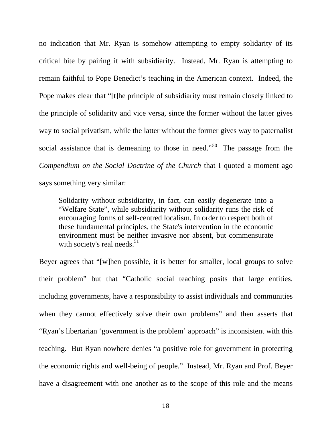no indication that Mr. Ryan is somehow attempting to empty solidarity of its critical bite by pairing it with subsidiarity. Instead, Mr. Ryan is attempting to remain faithful to Pope Benedict's teaching in the American context. Indeed, the Pope makes clear that "[t]he principle of subsidiarity must remain closely linked to the principle of solidarity and vice versa, since the former without the latter gives way to social privatism, while the latter without the former gives way to paternalist social assistance that is demeaning to those in need."<sup>50</sup> The passage from the *Compendium on the Social Doctrine of the Church* that I quoted a moment ago says something very similar:

Solidarity without subsidiarity, in fact, can easily degenerate into a "Welfare State", while subsidiarity without solidarity runs the risk of encouraging forms of self-centred localism. In order to respect both of these fundamental principles, the State's intervention in the economic environment must be neither invasive nor absent, but commensurate with society's real needs. $51$ 

Beyer agrees that "[w]hen possible, it is better for smaller, local groups to solve their problem" but that "Catholic social teaching posits that large entities, including governments, have a responsibility to assist individuals and communities when they cannot effectively solve their own problems" and then asserts that "Ryan's libertarian 'government is the problem' approach" is inconsistent with this teaching. But Ryan nowhere denies "a positive role for government in protecting the economic rights and well-being of people." Instead, Mr. Ryan and Prof. Beyer have a disagreement with one another as to the scope of this role and the means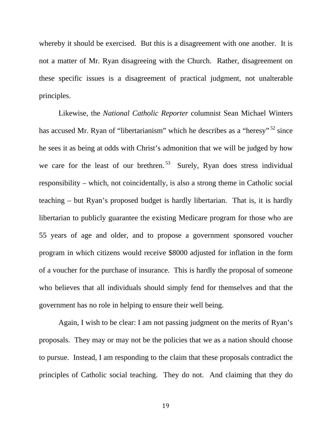whereby it should be exercised. But this is a disagreement with one another. It is not a matter of Mr. Ryan disagreeing with the Church. Rather, disagreement on these specific issues is a disagreement of practical judgment, not unalterable principles.

 Likewise, the *National Catholic Reporter* columnist Sean Michael Winters has accused Mr. Ryan of "libertarianism" which he describes as a "heresy" <sup>52</sup> since he sees it as being at odds with Christ's admonition that we will be judged by how we care for the least of our brethren.<sup>53</sup> Surely, Ryan does stress individual responsibility – which, not coincidentally, is also a strong theme in Catholic social teaching – but Ryan's proposed budget is hardly libertarian. That is, it is hardly libertarian to publicly guarantee the existing Medicare program for those who are 55 years of age and older, and to propose a government sponsored voucher program in which citizens would receive \$8000 adjusted for inflation in the form of a voucher for the purchase of insurance. This is hardly the proposal of someone who believes that all individuals should simply fend for themselves and that the government has no role in helping to ensure their well being.

 Again, I wish to be clear: I am not passing judgment on the merits of Ryan's proposals. They may or may not be the policies that we as a nation should choose to pursue. Instead, I am responding to the claim that these proposals contradict the principles of Catholic social teaching. They do not. And claiming that they do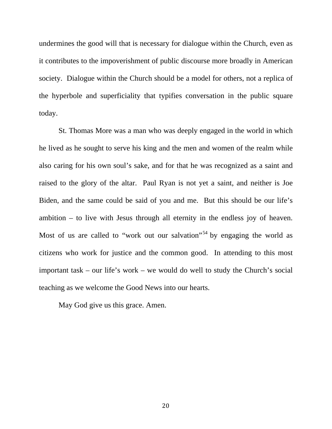undermines the good will that is necessary for dialogue within the Church, even as it contributes to the impoverishment of public discourse more broadly in American society. Dialogue within the Church should be a model for others, not a replica of the hyperbole and superficiality that typifies conversation in the public square today.

 St. Thomas More was a man who was deeply engaged in the world in which he lived as he sought to serve his king and the men and women of the realm while also caring for his own soul's sake, and for that he was recognized as a saint and raised to the glory of the altar. Paul Ryan is not yet a saint, and neither is Joe Biden, and the same could be said of you and me. But this should be our life's ambition – to live with Jesus through all eternity in the endless joy of heaven. Most of us are called to "work out our salvation"<sup>54</sup> by engaging the world as citizens who work for justice and the common good. In attending to this most important task – our life's work – we would do well to study the Church's social teaching as we welcome the Good News into our hearts.

May God give us this grace. Amen.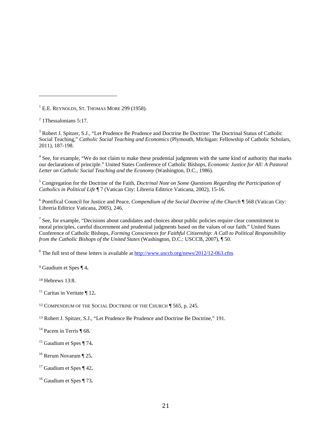<sup>1</sup> E.E. REYNOLDS, ST. THOMAS MORE 299 (1958).

 

<sup>3</sup> Robert J. Spitzer, S.J., "Let Prudence Be Prudence and Doctrine Be Doctrine: The Doctrinal Status of Catholic Social Teaching," *Catholic Social Teaching and Economics* (Plymouth, Michigan: Fellowship of Catholic Scholars, 2011), 187-198.

<sup>4</sup> See, for example, "We do not claim to make these prudential judgments with the same kind of authority that marks our declarations of principle." United States Conference of Catholic Bishops, *Economic Justice for All: A Pastoral Letter on Catholic Social Teaching and the Economy* (Washington, D.C., 1986).

<sup>5</sup> Congregation for the Doctrine of the Faith, *Doctrinal Note on Some Questions Regarding the Participation of Catholics in Political Life* ¶ 7 (Vatican City: Libreria Editrice Vaticana, 2002), 15-16.

6 Pontifical Council for Justice and Peace, *Compendium of the Social Doctrine of the Church* ¶ 568 (Vatican City: Libreria Editrice Vaticana, 2005), 246.

 $<sup>7</sup>$  See, for example, "Decisions about candidates and choices about public policies require clear commitment to</sup> moral principles, careful discernment and prudential judgments based on the values of our faith." United States Conference of Catholic Bishops, *Forming Consciences for Faithful Citizenship: A Call to Political Responsibility from the Catholic Bishops of the United States* (Washington, D.C.: USCCB, 2007), ¶ 50.

<sup>8</sup> The full text of these letters is available at  $\frac{http://www.usccb.org/news/2012/12-063.cfm.}{}$ 

<sup>9</sup> Gaudium et Spes ¶ 4**.**

<sup>10</sup> Hebrews 13:8.

11 Caritas in Veritate ¶ 12**.**

<sup>12</sup> COMPENDIUM OF THE SOCIAL DOCTRINE OF THE CHURCH ¶ 565, p. 245.

<sup>13</sup> Robert J. Spitzer, S.J., "Let Prudence Be Prudence and Doctrine Be Doctrine," 191.

14 Pacem in Terris ¶ 68**.**

- 15 Gaudium et Spes ¶ 74**.**
- 16 Rerum Novarum ¶ 25**.**
- 17 Gaudium et Spes ¶ 42**.**
- 18 Gaudium et Spes ¶ 73**.**

 $2$  1 Thessalonians 5:17.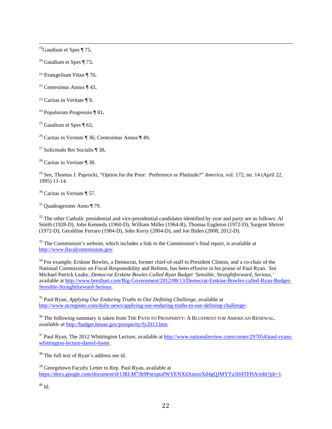19Gaudium et Spes ¶ 75**.**

20 Gaudium et Spes ¶ 73**.**

21 Evangelium Vitae ¶ 70**.**

- 22 Centesimus Annus ¶ 43**.**
- <sup>23</sup> Caritas in Veritate ¶ 9**.**
- 24 Populorum Progressio ¶ 81**.**
- 25 Gaudium et Spes ¶ 63**.**
- 26 Caritas in Veritate ¶ 36; Centesimus Annus ¶ 49**.**

27 Solicitudo Rei Socialis ¶ 38**.**

28 Caritas in Veritate ¶ 38.

<sup>29</sup> See, Thomas J. Paprocki, "Option for the Poor: Preference or Platitude?" *America*, vol. 172, no. 14 (April 22, 1995) 11-14.

 $30$  Caritas in Veritate ¶ 57.

31 Quadragesimo Anno ¶ 79.

 $32$  The other Catholic presidential and vice-presidential candidates identified by year and party are as follows: Al Smith (1928-D), John Kennedy (1960-D), William Miller (1964-R), Thomas Eagleton (1972-D), Sargent Shriver (1972-D), Geraldine Ferraro (1984-D), John Kerry (2004-D), and Joe Biden (2008, 2012-D).

<sup>33</sup> The Commission's website, which includes a link to the Commission's final report, is available at http://www.fiscalcommission.gov.

<sup>34</sup> For example, Erskine Bowles, a Democrat, former chief-of-staff to President Clinton, and a co-chair of the National Commission on Fiscal Responsibility and Reform, has been effusive in his praise of Paul Ryan. *See* Michael Patrick Leahy, *Democrat Erskine Bowles Called Ryan Budget 'Sensible, Straightforward, Serious,'* available at http://www.breitbart.com/Big-Government/2012/08/13/Democrat-Erskine-Bowles-called-Ryan-Budget-Sensible-Straightforward-Serious.

35 Paul Ryan, *Applying Our Enduring Truths to Our Defining Challenge*, available at http://www.ncregister.com/daily-news/applying-our-enduring-truths-to-our-defining-challenge/.

<sup>36</sup> The following summary is taken from THE PATH TO PROSPERITY: A BLUEPRINT FOR AMERICAN RENEWAL, *available a*t http://budget.house.gov/prosperity/fy2013.htm.

 $37$  Paul Ryan, The 2012 Whittington Lecture, available at http://www.nationalreview.com/corner/297054/paul-ryanswhittington-lecture-daniel-foster.

<sup>38</sup> The full text of Ryan's address see id.

<sup>39</sup> Georgetown Faculty Letter to Rep. Paul Ryan, available at https://docs.google.com/document/d/1JRLM7Jh9PnrxptafWYENXdAmxnXd4gQJMYTu3H4TFHA/edit?pli=1.

 $40$  Id.